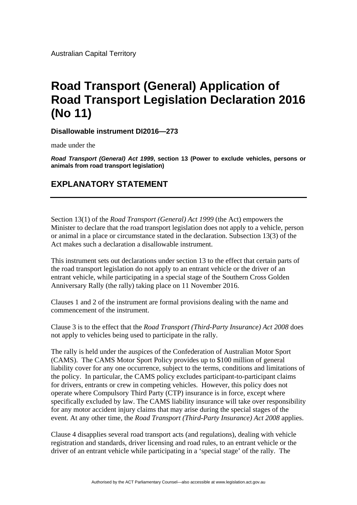Australian Capital Territory

## **Road Transport (General) Application of Road Transport Legislation Declaration 2016 (No 11)**

**Disallowable instrument DI2016—273**

made under the

*Road Transport (General) Act 1999***, section 13 (Power to exclude vehicles, persons or animals from road transport legislation)** 

## **EXPLANATORY STATEMENT**

Section 13(1) of the *Road Transport (General) Act 1999* (the Act) empowers the Minister to declare that the road transport legislation does not apply to a vehicle, person or animal in a place or circumstance stated in the declaration. Subsection 13(3) of the Act makes such a declaration a disallowable instrument.

This instrument sets out declarations under section 13 to the effect that certain parts of the road transport legislation do not apply to an entrant vehicle or the driver of an entrant vehicle, while participating in a special stage of the Southern Cross Golden Anniversary Rally (the rally) taking place on 11 November 2016.

Clauses 1 and 2 of the instrument are formal provisions dealing with the name and commencement of the instrument.

Clause 3 is to the effect that the *Road Transport (Third-Party Insurance) Act 2008* does not apply to vehicles being used to participate in the rally.

The rally is held under the auspices of the Confederation of Australian Motor Sport (CAMS). The CAMS Motor Sport Policy provides up to \$100 million of general liability cover for any one occurrence, subject to the terms, conditions and limitations of the policy. In particular, the CAMS policy excludes participant-to-participant claims for drivers, entrants or crew in competing vehicles. However, this policy does not operate where Compulsory Third Party (CTP) insurance is in force, except where specifically excluded by law. The CAMS liability insurance will take over responsibility for any motor accident injury claims that may arise during the special stages of the event. At any other time, the *Road Transport (Third-Party Insurance) Act 2008* applies.

Clause 4 disapplies several road transport acts (and regulations), dealing with vehicle registration and standards, driver licensing and road rules, to an entrant vehicle or the driver of an entrant vehicle while participating in a 'special stage' of the rally. The